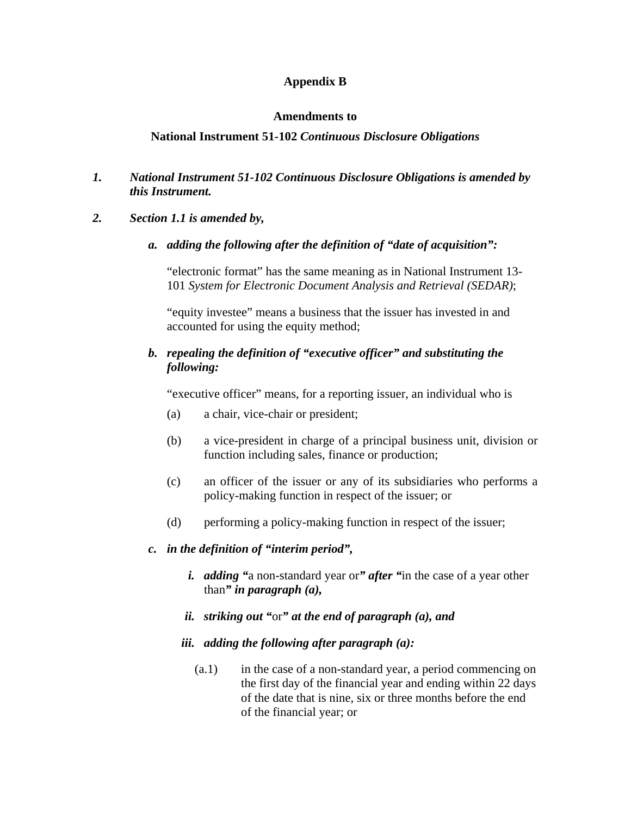## **Appendix B**

### **Amendments to**

## **National Instrument 51-102** *Continuous Disclosure Obligations*

## *1. National Instrument 51-102 Continuous Disclosure Obligations is amended by this Instrument.*

## *2. Section 1.1 is amended by,*

*a. adding the following after the definition of "date of acquisition":* 

"electronic format" has the same meaning as in National Instrument 13- 101 *System for Electronic Document Analysis and Retrieval (SEDAR)*;

"equity investee" means a business that the issuer has invested in and accounted for using the equity method;

## *b. repealing the definition of "executive officer" and substituting the following:*

"executive officer" means, for a reporting issuer, an individual who is

- (a) a chair, vice-chair or president;
- (b) a vice-president in charge of a principal business unit, division or function including sales, finance or production;
- (c) an officer of the issuer or any of its subsidiaries who performs a policy-making function in respect of the issuer; or
- (d) performing a policy-making function in respect of the issuer;

## *c. in the definition of "interim period",*

- *i. adding "*a non-standard year or*" after "*in the case of a year other than*" in paragraph (a),*
- *ii. striking out "*or*" at the end of paragraph (a), and*
- *iii. adding the following after paragraph (a):* 
	- $(a,1)$  in the case of a non-standard year, a period commencing on the first day of the financial year and ending within 22 days of the date that is nine, six or three months before the end of the financial year; or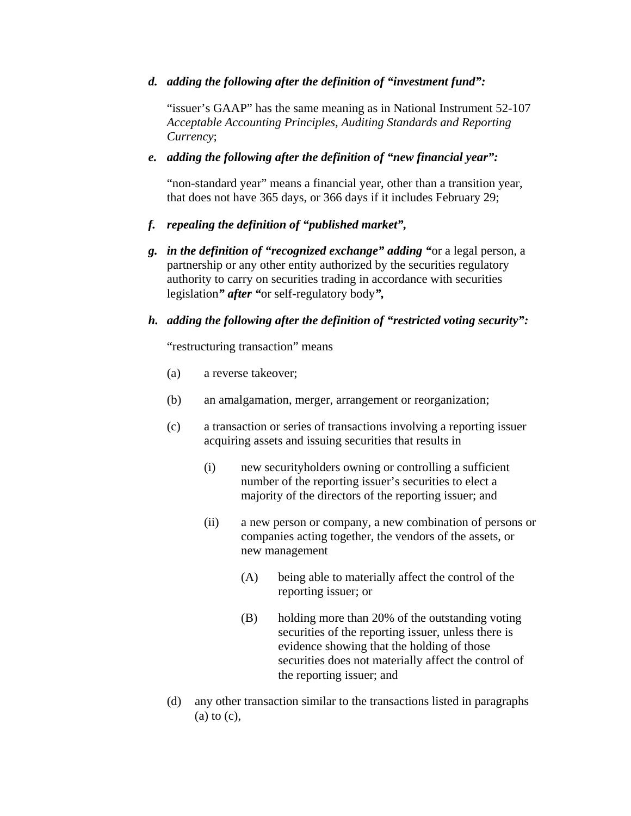### *d. adding the following after the definition of "investment fund":*

"issuer's GAAP" has the same meaning as in National Instrument 52-107 *Acceptable Accounting Principles, Auditing Standards and Reporting Currency*;

### *e. adding the following after the definition of "new financial year":*

"non-standard year" means a financial year, other than a transition year, that does not have 365 days, or 366 days if it includes February 29;

## *f. repealing the definition of "published market",*

*g. in the definition of "recognized exchange" adding "*or a legal person, a partnership or any other entity authorized by the securities regulatory authority to carry on securities trading in accordance with securities legislation*" after "*or self-regulatory body*",* 

### *h. adding the following after the definition of "restricted voting security":*

"restructuring transaction" means

- (a) a reverse takeover;
- (b) an amalgamation, merger, arrangement or reorganization;
- (c) a transaction or series of transactions involving a reporting issuer acquiring assets and issuing securities that results in
	- (i) new securityholders owning or controlling a sufficient number of the reporting issuer's securities to elect a majority of the directors of the reporting issuer; and
	- (ii) a new person or company, a new combination of persons or companies acting together, the vendors of the assets, or new management
		- (A) being able to materially affect the control of the reporting issuer; or
		- (B) holding more than 20% of the outstanding voting securities of the reporting issuer, unless there is evidence showing that the holding of those securities does not materially affect the control of the reporting issuer; and
- (d) any other transaction similar to the transactions listed in paragraphs  $(a)$  to  $(c)$ ,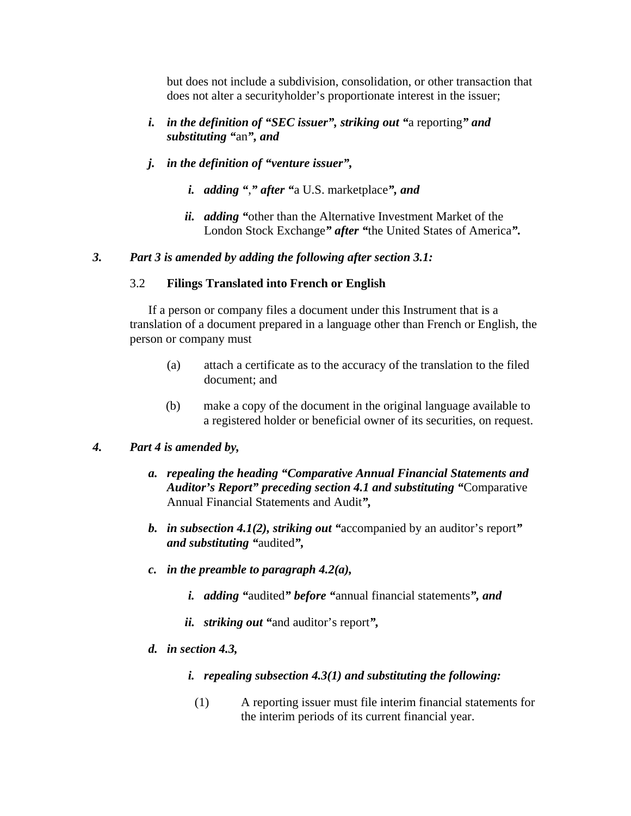but does not include a subdivision, consolidation, or other transaction that does not alter a securityholder's proportionate interest in the issuer;

- *i. in the definition of "SEC issuer", striking out "*a reporting*" and substituting "*an*", and*
- *j. in the definition of "venture issuer",* 
	- *i. adding "*,*" after "*a U.S. marketplace*", and*
	- *ii. adding "*other than the Alternative Investment Market of the London Stock Exchange*" after "*the United States of America*".*

## *3. Part 3 is amended by adding the following after section 3.1:*

## 3.2 **Filings Translated into French or English**

If a person or company files a document under this Instrument that is a translation of a document prepared in a language other than French or English, the person or company must

- (a) attach a certificate as to the accuracy of the translation to the filed document; and
- (b) make a copy of the document in the original language available to a registered holder or beneficial owner of its securities, on request.

## *4. Part 4 is amended by,*

- *a. repealing the heading "Comparative Annual Financial Statements and Auditor's Report" preceding section 4.1 and substituting "*Comparative Annual Financial Statements and Audit*",*
- *b. in subsection 4.1(2), striking out "*accompanied by an auditor's report*" and substituting "*audited*",*
- *c. in the preamble to paragraph 4.2(a),* 
	- *i. adding "*audited*" before "*annual financial statements*", and*
	- *ii. striking out "*and auditor's report*",*
- *d. in section 4.3,* 
	- *i. repealing subsection 4.3(1) and substituting the following:* 
		- (1) A reporting issuer must file interim financial statements for the interim periods of its current financial year.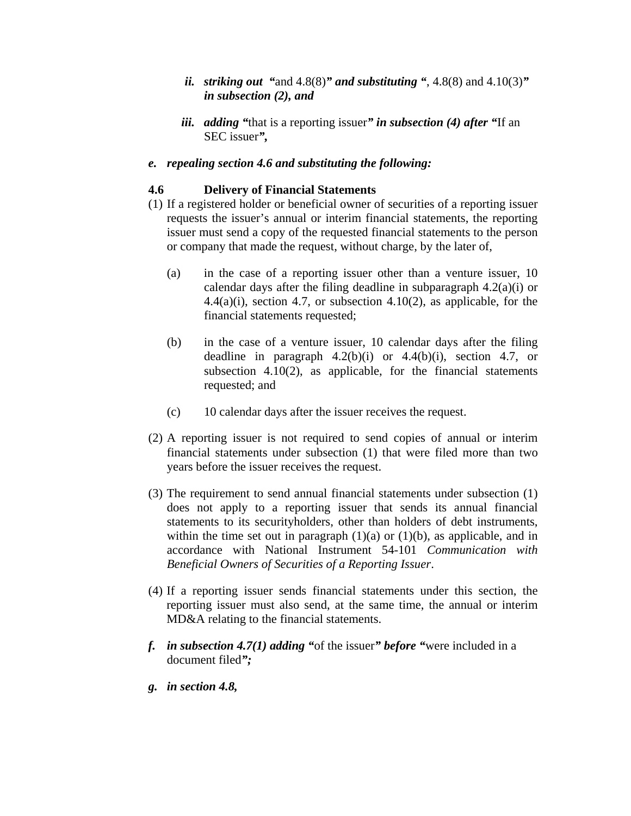- *ii. striking out* "and  $4.8(8)$ " *and substituting* ",  $4.8(8)$  and  $4.10(3)$ " *in subsection (2), and*
- *iii. adding "*that is a reporting issuer*" in subsection (4) after "*If an SEC issuer*",*

## *e. repealing section 4.6 and substituting the following:*

## **4.6 Delivery of Financial Statements**

- (1) If a registered holder or beneficial owner of securities of a reporting issuer requests the issuer's annual or interim financial statements, the reporting issuer must send a copy of the requested financial statements to the person or company that made the request, without charge, by the later of,
	- (a) in the case of a reporting issuer other than a venture issuer, 10 calendar days after the filing deadline in subparagraph 4.2(a)(i) or  $4.4(a)(i)$ , section 4.7, or subsection  $4.10(2)$ , as applicable, for the financial statements requested;
	- (b) in the case of a venture issuer, 10 calendar days after the filing deadline in paragraph  $4.2(b)(i)$  or  $4.4(b)(i)$ , section  $4.7$ , or subsection 4.10(2), as applicable, for the financial statements requested; and
	- (c) 10 calendar days after the issuer receives the request.
- (2) A reporting issuer is not required to send copies of annual or interim financial statements under subsection (1) that were filed more than two years before the issuer receives the request.
- (3) The requirement to send annual financial statements under subsection (1) does not apply to a reporting issuer that sends its annual financial statements to its securityholders, other than holders of debt instruments, within the time set out in paragraph  $(1)(a)$  or  $(1)(b)$ , as applicable, and in accordance with National Instrument 54-101 *Communication with Beneficial Owners of Securities of a Reporting Issuer*.
- (4) If a reporting issuer sends financial statements under this section, the reporting issuer must also send, at the same time, the annual or interim MD&A relating to the financial statements.
- *f. in subsection 4.7(1) adding "*of the issuer*" before "*were included in a document filed*";*
- *g. in section 4.8,*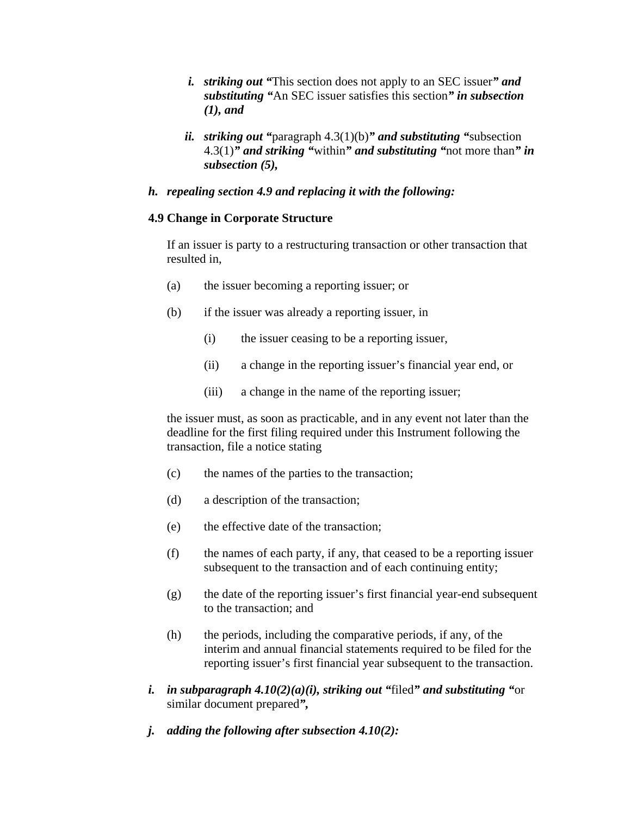- *i. striking out "*This section does not apply to an SEC issuer*" and substituting "*An SEC issuer satisfies this section*" in subsection (1), and*
- *ii. striking out "*paragraph 4.3(1)(b)*" and substituting "*subsection 4.3(1)*" and striking "*within*" and substituting "*not more than*" in subsection (5),*

### *h. repealing section 4.9 and replacing it with the following:*

### **4.9 Change in Corporate Structure**

If an issuer is party to a restructuring transaction or other transaction that resulted in,

- (a) the issuer becoming a reporting issuer; or
- (b) if the issuer was already a reporting issuer, in
	- (i) the issuer ceasing to be a reporting issuer,
	- (ii) a change in the reporting issuer's financial year end, or
	- (iii) a change in the name of the reporting issuer;

the issuer must, as soon as practicable, and in any event not later than the deadline for the first filing required under this Instrument following the transaction, file a notice stating

- (c) the names of the parties to the transaction;
- (d) a description of the transaction;
- (e) the effective date of the transaction;
- (f) the names of each party, if any, that ceased to be a reporting issuer subsequent to the transaction and of each continuing entity;
- (g) the date of the reporting issuer's first financial year-end subsequent to the transaction; and
- (h) the periods, including the comparative periods, if any, of the interim and annual financial statements required to be filed for the reporting issuer's first financial year subsequent to the transaction.
- *i. in subparagraph 4.10(2)(a)(i), striking out "*filed*" and substituting "*or similar document prepared*",*
- *j. adding the following after subsection 4.10(2):*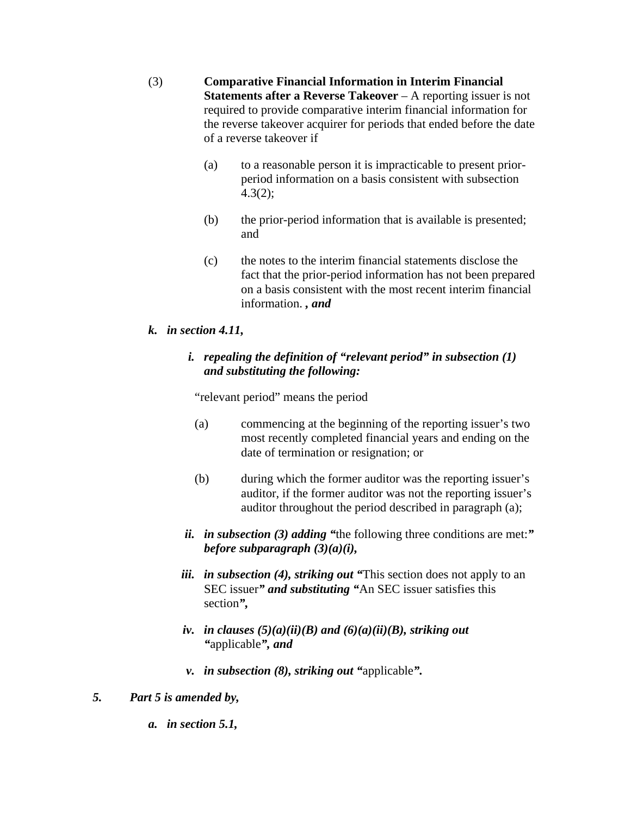(3) **Comparative Financial Information in Interim Financial Statements after a Reverse Takeover** – A reporting issuer is not required to provide comparative interim financial information for the reverse takeover acquirer for periods that ended before the date of a reverse takeover if

- (a) to a reasonable person it is impracticable to present priorperiod information on a basis consistent with subsection 4.3(2);
- (b) the prior-period information that is available is presented; and
- (c) the notes to the interim financial statements disclose the fact that the prior-period information has not been prepared on a basis consistent with the most recent interim financial information. *, and*

# *k. in section 4.11,*

# *i. repealing the definition of "relevant period" in subsection (1) and substituting the following:*

"relevant period" means the period

- (a) commencing at the beginning of the reporting issuer's two most recently completed financial years and ending on the date of termination or resignation; or
- (b) during which the former auditor was the reporting issuer's auditor, if the former auditor was not the reporting issuer's auditor throughout the period described in paragraph (a);
- *ii. in subsection (3) adding "*the following three conditions are met:*" before subparagraph (3)(a)(i),*
- *iii. in subsection (4), striking out "*This section does not apply to an SEC issuer*" and substituting "*An SEC issuer satisfies this section*",*
- *iv. in clauses*  $(5)(a)(ii)(B)$  *and*  $(6)(a)(ii)(B)$ *, striking out "*applicable*", and*
- *v. in subsection (8), striking out "*applicable*".*
- *5. Part 5 is amended by,* 
	- *a. in section 5.1,*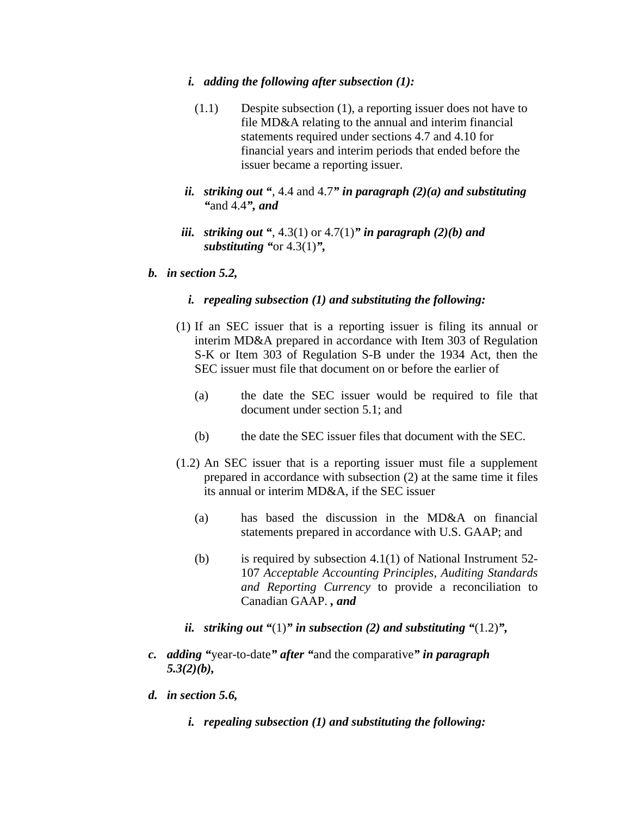#### *i. adding the following after subsection (1):*

- (1.1) Despite subsection (1), a reporting issuer does not have to file MD&A relating to the annual and interim financial statements required under sections 4.7 and 4.10 for financial years and interim periods that ended before the issuer became a reporting issuer.
- *ii. striking out "*, 4.4 and 4.7*" in paragraph (2)(a) and substituting "*and 4.4*", and*
- *iii. striking out "*, 4.3(1) or 4.7(1)*" in paragraph (2)(b) and substituting "*or 4.3(1)*",*

#### *b. in section 5.2,*

- *i. repealing subsection (1) and substituting the following:*
- (1) If an SEC issuer that is a reporting issuer is filing its annual or interim MD&A prepared in accordance with Item 303 of Regulation S-K or Item 303 of Regulation S-B under the 1934 Act, then the SEC issuer must file that document on or before the earlier of
	- (a) the date the SEC issuer would be required to file that document under section 5.1; and
	- (b) the date the SEC issuer files that document with the SEC.
- (1.2) An SEC issuer that is a reporting issuer must file a supplement prepared in accordance with subsection (2) at the same time it files its annual or interim MD&A, if the SEC issuer
	- (a) has based the discussion in the MD&A on financial statements prepared in accordance with U.S. GAAP; and
	- (b) is required by subsection 4.1(1) of National Instrument 52- 107 *Acceptable Accounting Principles, Auditing Standards and Reporting Currency* to provide a reconciliation to Canadian GAAP. *, and*
	- *ii. striking out "*(1)*" in subsection (2) and substituting "*(1.2)*",*
- *c. adding "*year-to-date*" after "*and the comparative*" in paragraph 5.3(2)(b),*
- *d. in section 5.6,* 
	- *i. repealing subsection (1) and substituting the following:*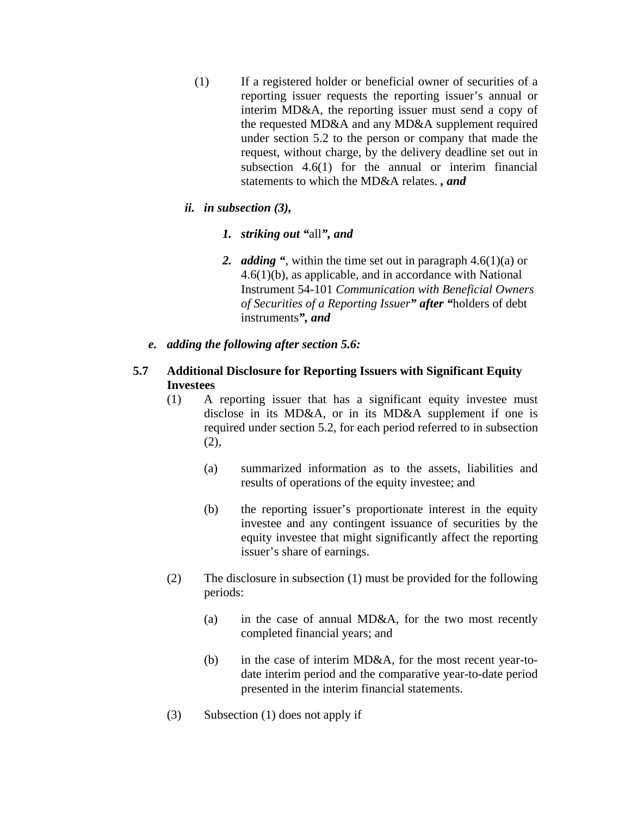- (1) If a registered holder or beneficial owner of securities of a reporting issuer requests the reporting issuer's annual or interim MD&A, the reporting issuer must send a copy of the requested MD&A and any MD&A supplement required under section 5.2 to the person or company that made the request, without charge, by the delivery deadline set out in subsection 4.6(1) for the annual or interim financial statements to which the MD&A relates. *, and*
- *ii. in subsection (3),* 
	- *1. striking out "*all*", and*
	- *2. adding "*, within the time set out in paragraph 4.6(1)(a) or 4.6(1)(b), as applicable, and in accordance with National Instrument 54-101 *Communication with Beneficial Owners of Securities of a Reporting Issuer" after "*holders of debt instruments*", and*
- *e. adding the following after section 5.6:*

## **5.7 Additional Disclosure for Reporting Issuers with Significant Equity Investees**

- (1) A reporting issuer that has a significant equity investee must disclose in its MD&A, or in its MD&A supplement if one is required under section 5.2, for each period referred to in subsection (2),
	- (a) summarized information as to the assets, liabilities and results of operations of the equity investee; and
	- (b) the reporting issuer's proportionate interest in the equity investee and any contingent issuance of securities by the equity investee that might significantly affect the reporting issuer's share of earnings.
- (2) The disclosure in subsection (1) must be provided for the following periods:
	- (a) in the case of annual MD&A, for the two most recently completed financial years; and
	- (b) in the case of interim MD&A, for the most recent year-todate interim period and the comparative year-to-date period presented in the interim financial statements.
- (3) Subsection (1) does not apply if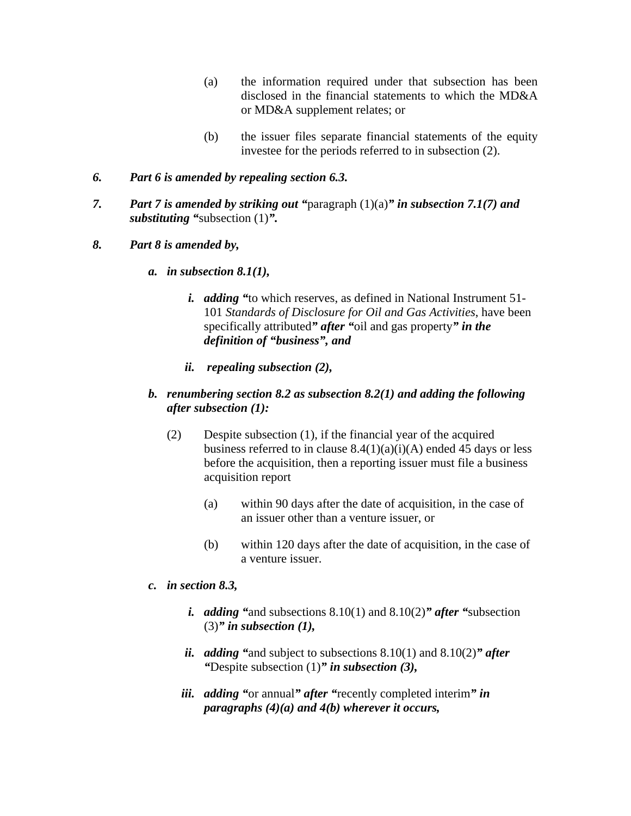- (a) the information required under that subsection has been disclosed in the financial statements to which the MD&A or MD&A supplement relates; or
- (b) the issuer files separate financial statements of the equity investee for the periods referred to in subsection (2).

## *6. Part 6 is amended by repealing section 6.3.*

- *7. Part 7 is amended by striking out "*paragraph (1)(a)*" in subsection 7.1(7) and substituting "*subsection (1)*".*
- *8. Part 8 is amended by,* 
	- *a. in subsection 8.1(1),* 
		- *i. adding "*to which reserves, as defined in National Instrument 51- 101 *Standards of Disclosure for Oil and Gas Activities*, have been specifically attributed*" after "*oil and gas property*" in the definition of "business", and*
		- *ii. repealing subsection (2),*
	- *b. renumbering section 8.2 as subsection 8.2(1) and adding the following after subsection (1):* 
		- (2) Despite subsection (1), if the financial year of the acquired business referred to in clause  $8.4(1)(a)(i)(A)$  ended 45 days or less before the acquisition, then a reporting issuer must file a business acquisition report
			- (a) within 90 days after the date of acquisition, in the case of an issuer other than a venture issuer, or
			- (b) within 120 days after the date of acquisition, in the case of a venture issuer.
	- *c. in section 8.3,* 
		- *i. adding "*and subsections 8.10(1) and 8.10(2)*" after "*subsection (3)*" in subsection (1),*
		- *ii. adding "*and subject to subsections 8.10(1) and 8.10(2)*" after "*Despite subsection (1)*" in subsection (3),*
		- *iii. adding "*or annual*" after "*recently completed interim*" in paragraphs (4)(a) and 4(b) wherever it occurs,*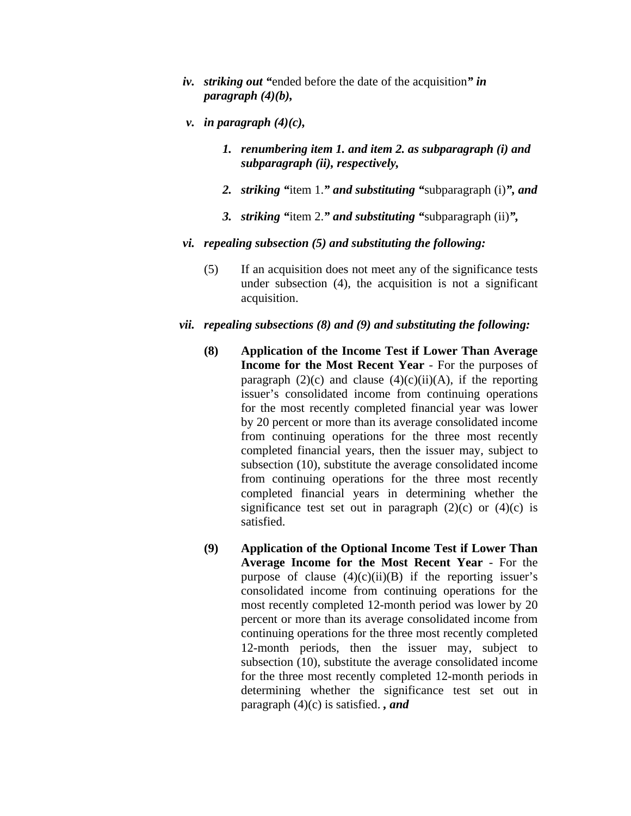- *iv. striking out "*ended before the date of the acquisition*" in paragraph (4)(b),*
- *v. in paragraph*  $(4)(c)$ *,* 
	- *1. renumbering item 1. and item 2. as subparagraph (i) and subparagraph (ii), respectively,*
	- *2. striking "*item 1.*" and substituting "*subparagraph (i)*", and*
	- *3. striking "*item 2.*" and substituting "*subparagraph (ii)*",*
- *vi. repealing subsection (5) and substituting the following:* 
	- (5) If an acquisition does not meet any of the significance tests under subsection (4), the acquisition is not a significant acquisition.
- *vii. repealing subsections (8) and (9) and substituting the following:* 
	- **(8) Application of the Income Test if Lower Than Average Income for the Most Recent Year** - For the purposes of paragraph  $(2)(c)$  and clause  $(4)(c)(ii)(A)$ , if the reporting issuer's consolidated income from continuing operations for the most recently completed financial year was lower by 20 percent or more than its average consolidated income from continuing operations for the three most recently completed financial years, then the issuer may, subject to subsection (10), substitute the average consolidated income from continuing operations for the three most recently completed financial years in determining whether the significance test set out in paragraph  $(2)(c)$  or  $(4)(c)$  is satisfied.
	- **(9) Application of the Optional Income Test if Lower Than Average Income for the Most Recent Year** - For the purpose of clause  $(4)(c)(ii)(B)$  if the reporting issuer's consolidated income from continuing operations for the most recently completed 12-month period was lower by 20 percent or more than its average consolidated income from continuing operations for the three most recently completed 12-month periods, then the issuer may, subject to subsection (10), substitute the average consolidated income for the three most recently completed 12-month periods in determining whether the significance test set out in paragraph (4)(c) is satisfied. *, and*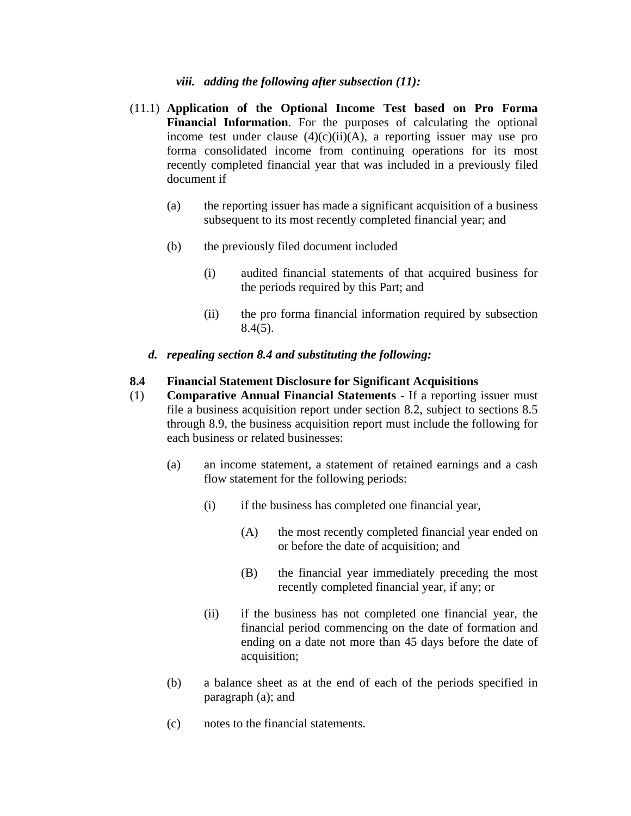### *viii. adding the following after subsection (11):*

- (11.1) **Application of the Optional Income Test based on Pro Forma Financial Information**. For the purposes of calculating the optional income test under clause  $(4)(c)(ii)(A)$ , a reporting issuer may use pro forma consolidated income from continuing operations for its most recently completed financial year that was included in a previously filed document if
	- (a) the reporting issuer has made a significant acquisition of a business subsequent to its most recently completed financial year; and
	- (b) the previously filed document included
		- (i) audited financial statements of that acquired business for the periods required by this Part; and
		- (ii) the pro forma financial information required by subsection  $8.4(5)$ .
	- *d. repealing section 8.4 and substituting the following:*

### **8.4 Financial Statement Disclosure for Significant Acquisitions**

- (1) **Comparative Annual Financial Statements** If a reporting issuer must file a business acquisition report under section 8.2, subject to sections 8.5 through 8.9, the business acquisition report must include the following for each business or related businesses:
	- (a) an income statement, a statement of retained earnings and a cash flow statement for the following periods:
		- (i) if the business has completed one financial year,
			- (A) the most recently completed financial year ended on or before the date of acquisition; and
			- (B) the financial year immediately preceding the most recently completed financial year, if any; or
		- (ii) if the business has not completed one financial year, the financial period commencing on the date of formation and ending on a date not more than 45 days before the date of acquisition;
	- (b) a balance sheet as at the end of each of the periods specified in paragraph (a); and
	- (c) notes to the financial statements.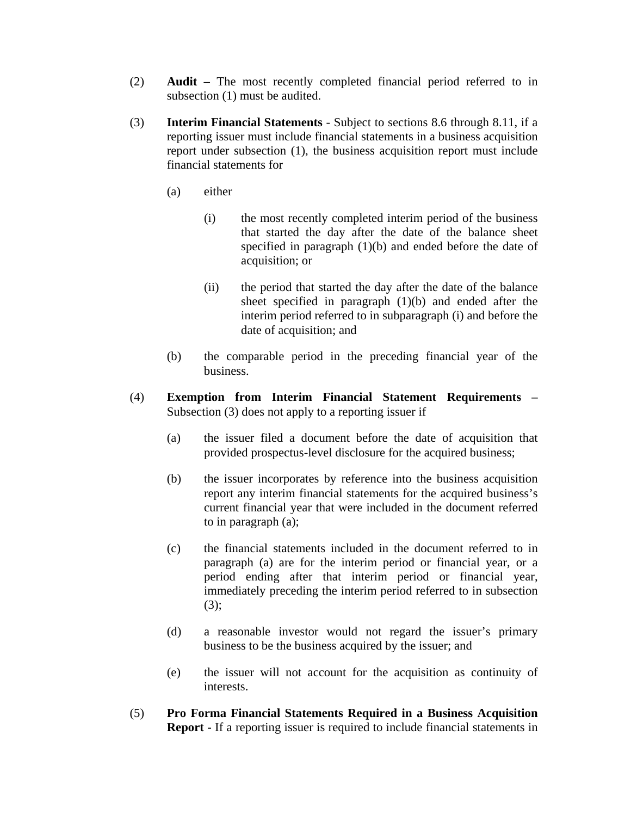- (2) **Audit** The most recently completed financial period referred to in subsection (1) must be audited.
- (3) **Interim Financial Statements** Subject to sections 8.6 through 8.11, if a reporting issuer must include financial statements in a business acquisition report under subsection (1), the business acquisition report must include financial statements for
	- (a) either
		- (i) the most recently completed interim period of the business that started the day after the date of the balance sheet specified in paragraph (1)(b) and ended before the date of acquisition; or
		- (ii) the period that started the day after the date of the balance sheet specified in paragraph (1)(b) and ended after the interim period referred to in subparagraph (i) and before the date of acquisition; and
	- (b) the comparable period in the preceding financial year of the business.
- (4) **Exemption from Interim Financial Statement Requirements**  Subsection (3) does not apply to a reporting issuer if
	- (a) the issuer filed a document before the date of acquisition that provided prospectus-level disclosure for the acquired business;
	- (b) the issuer incorporates by reference into the business acquisition report any interim financial statements for the acquired business's current financial year that were included in the document referred to in paragraph (a);
	- (c) the financial statements included in the document referred to in paragraph (a) are for the interim period or financial year, or a period ending after that interim period or financial year, immediately preceding the interim period referred to in subsection  $(3)$ ;
	- (d) a reasonable investor would not regard the issuer's primary business to be the business acquired by the issuer; and
	- (e) the issuer will not account for the acquisition as continuity of interests.
- (5) **Pro Forma Financial Statements Required in a Business Acquisition Report** - If a reporting issuer is required to include financial statements in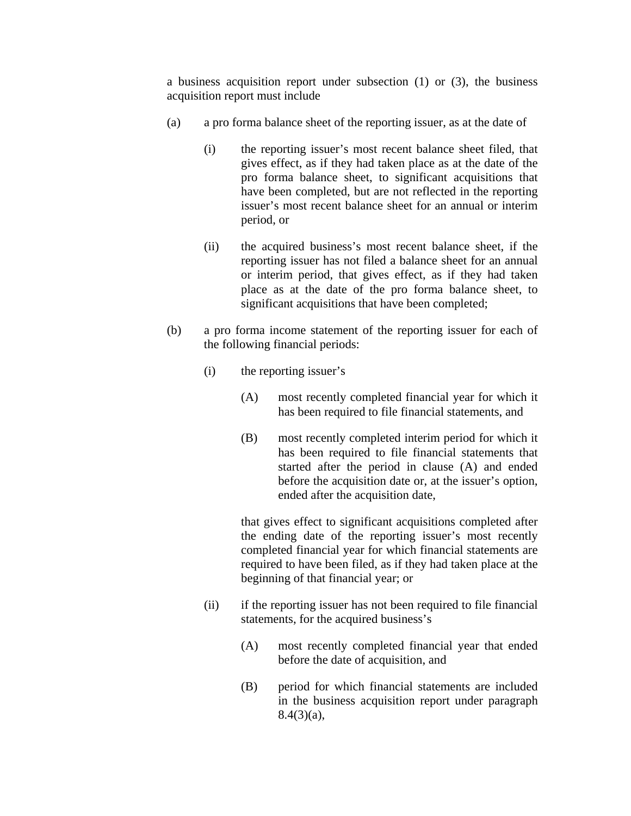a business acquisition report under subsection (1) or (3), the business acquisition report must include

- (a) a pro forma balance sheet of the reporting issuer, as at the date of
	- (i) the reporting issuer's most recent balance sheet filed, that gives effect, as if they had taken place as at the date of the pro forma balance sheet, to significant acquisitions that have been completed, but are not reflected in the reporting issuer's most recent balance sheet for an annual or interim period, or
	- (ii) the acquired business's most recent balance sheet, if the reporting issuer has not filed a balance sheet for an annual or interim period, that gives effect, as if they had taken place as at the date of the pro forma balance sheet, to significant acquisitions that have been completed;
- (b) a pro forma income statement of the reporting issuer for each of the following financial periods:
	- (i) the reporting issuer's
		- (A) most recently completed financial year for which it has been required to file financial statements, and
		- (B) most recently completed interim period for which it has been required to file financial statements that started after the period in clause (A) and ended before the acquisition date or, at the issuer's option, ended after the acquisition date,

that gives effect to significant acquisitions completed after the ending date of the reporting issuer's most recently completed financial year for which financial statements are required to have been filed, as if they had taken place at the beginning of that financial year; or

- (ii) if the reporting issuer has not been required to file financial statements, for the acquired business's
	- (A) most recently completed financial year that ended before the date of acquisition, and
	- (B) period for which financial statements are included in the business acquisition report under paragraph 8.4(3)(a),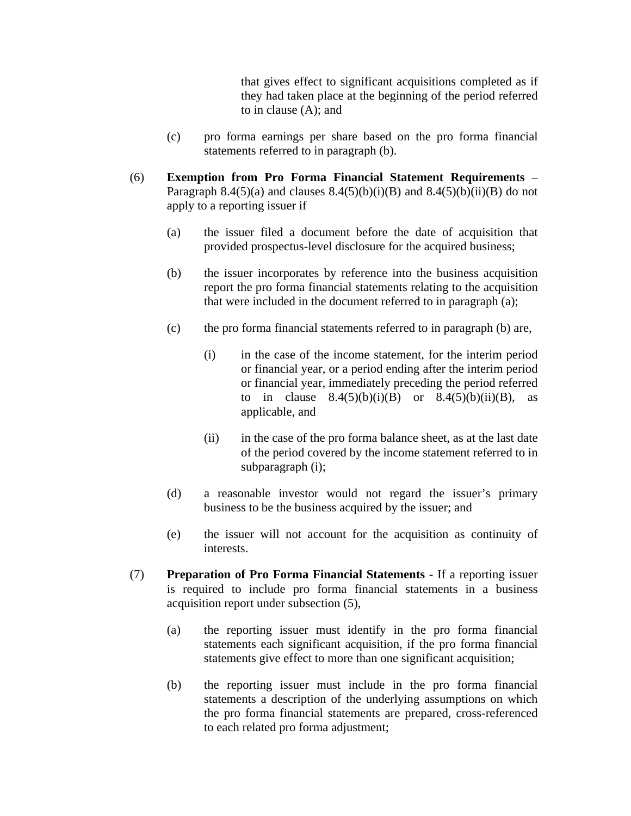that gives effect to significant acquisitions completed as if they had taken place at the beginning of the period referred to in clause (A); and

- (c) pro forma earnings per share based on the pro forma financial statements referred to in paragraph (b).
- (6) **Exemption from Pro Forma Financial Statement Requirements** Paragraph 8.4(5)(a) and clauses 8.4(5)(b)(i)(B) and 8.4(5)(b)(ii)(B) do not apply to a reporting issuer if
	- (a) the issuer filed a document before the date of acquisition that provided prospectus-level disclosure for the acquired business;
	- (b) the issuer incorporates by reference into the business acquisition report the pro forma financial statements relating to the acquisition that were included in the document referred to in paragraph (a);
	- (c) the pro forma financial statements referred to in paragraph (b) are,
		- (i) in the case of the income statement, for the interim period or financial year, or a period ending after the interim period or financial year, immediately preceding the period referred to in clause  $8.4(5)(b)(i)(B)$  or  $8.4(5)(b)(ii)(B)$ , as applicable, and
		- (ii) in the case of the pro forma balance sheet, as at the last date of the period covered by the income statement referred to in subparagraph (i);
	- (d) a reasonable investor would not regard the issuer's primary business to be the business acquired by the issuer; and
	- (e) the issuer will not account for the acquisition as continuity of interests.
- (7) **Preparation of Pro Forma Financial Statements** If a reporting issuer is required to include pro forma financial statements in a business acquisition report under subsection (5),
	- (a) the reporting issuer must identify in the pro forma financial statements each significant acquisition, if the pro forma financial statements give effect to more than one significant acquisition;
	- (b) the reporting issuer must include in the pro forma financial statements a description of the underlying assumptions on which the pro forma financial statements are prepared, cross-referenced to each related pro forma adjustment;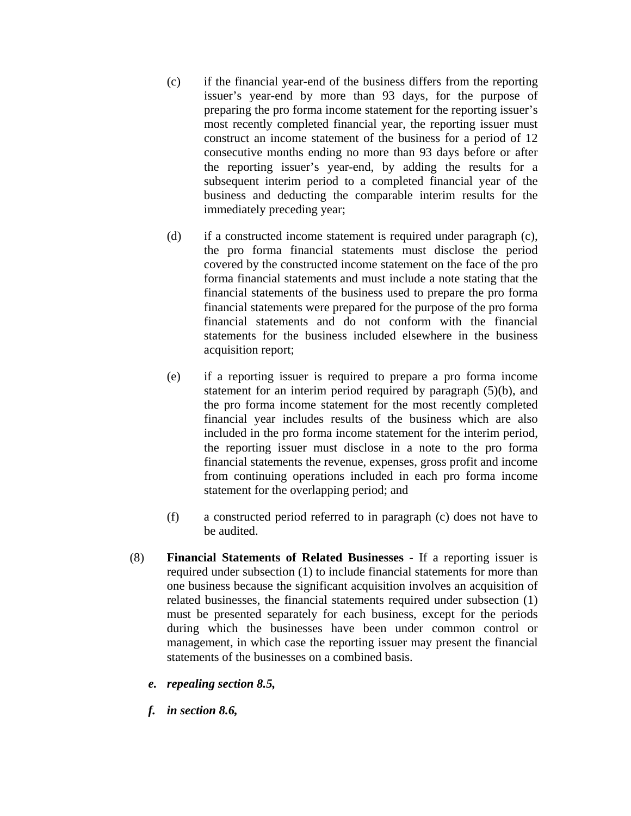- (c) if the financial year-end of the business differs from the reporting issuer's year-end by more than 93 days, for the purpose of preparing the pro forma income statement for the reporting issuer's most recently completed financial year, the reporting issuer must construct an income statement of the business for a period of 12 consecutive months ending no more than 93 days before or after the reporting issuer's year-end, by adding the results for a subsequent interim period to a completed financial year of the business and deducting the comparable interim results for the immediately preceding year;
- (d) if a constructed income statement is required under paragraph (c), the pro forma financial statements must disclose the period covered by the constructed income statement on the face of the pro forma financial statements and must include a note stating that the financial statements of the business used to prepare the pro forma financial statements were prepared for the purpose of the pro forma financial statements and do not conform with the financial statements for the business included elsewhere in the business acquisition report;
- (e) if a reporting issuer is required to prepare a pro forma income statement for an interim period required by paragraph (5)(b), and the pro forma income statement for the most recently completed financial year includes results of the business which are also included in the pro forma income statement for the interim period, the reporting issuer must disclose in a note to the pro forma financial statements the revenue, expenses, gross profit and income from continuing operations included in each pro forma income statement for the overlapping period; and
- (f) a constructed period referred to in paragraph (c) does not have to be audited.
- (8) **Financial Statements of Related Businesses** If a reporting issuer is required under subsection (1) to include financial statements for more than one business because the significant acquisition involves an acquisition of related businesses, the financial statements required under subsection (1) must be presented separately for each business, except for the periods during which the businesses have been under common control or management, in which case the reporting issuer may present the financial statements of the businesses on a combined basis.
	- *e. repealing section 8.5,*
	- *f. in section 8.6,*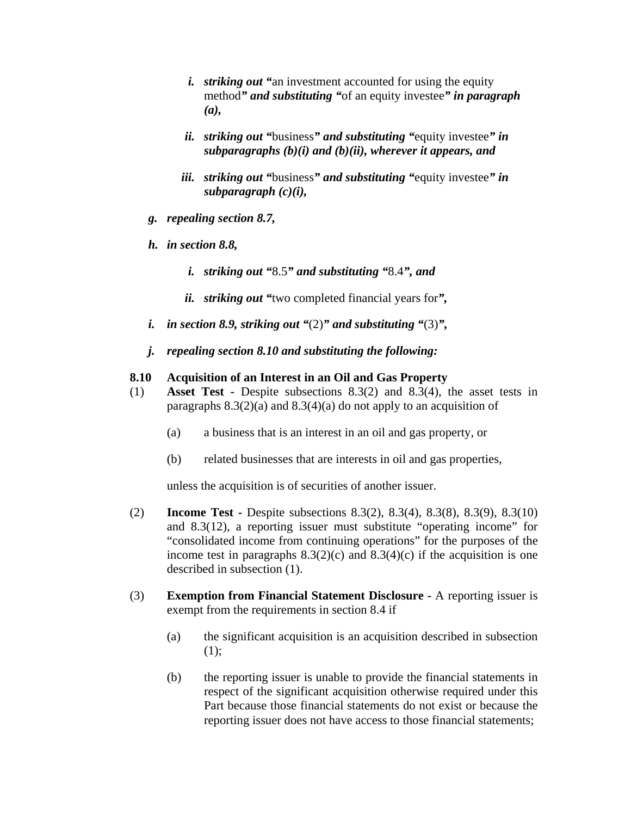- *i. striking out "*an investment accounted for using the equity method*" and substituting "*of an equity investee*" in paragraph (a),*
- *ii. striking out "*business*" and substituting "*equity investee*" in subparagraphs (b)(i) and (b)(ii), wherever it appears, and*
- *iii. striking out "*business*" and substituting "*equity investee*" in subparagraph (c)(i),*
- *g. repealing section 8.7,*
- *h. in section 8.8,* 
	- *i. striking out "*8.5*" and substituting "*8.4*", and*
	- *ii. striking out "*two completed financial years for*",*
- *i. in section 8.9, striking out "*(2)*" and substituting "*(3)*",*
- *j. repealing section 8.10 and substituting the following:*

#### **8.10 Acquisition of an Interest in an Oil and Gas Property**

- (1) **Asset Test** Despite subsections 8.3(2) and 8.3(4), the asset tests in paragraphs  $8.3(2)(a)$  and  $8.3(4)(a)$  do not apply to an acquisition of
	- (a) a business that is an interest in an oil and gas property, or
	- (b) related businesses that are interests in oil and gas properties,

unless the acquisition is of securities of another issuer.

- (2) **Income Test** Despite subsections 8.3(2), 8.3(4), 8.3(8), 8.3(9), 8.3(10) and 8.3(12), a reporting issuer must substitute "operating income" for "consolidated income from continuing operations" for the purposes of the income test in paragraphs  $8.3(2)(c)$  and  $8.3(4)(c)$  if the acquisition is one described in subsection (1).
- (3) **Exemption from Financial Statement Disclosure** A reporting issuer is exempt from the requirements in section 8.4 if
	- (a) the significant acquisition is an acquisition described in subsection  $(1);$
	- (b) the reporting issuer is unable to provide the financial statements in respect of the significant acquisition otherwise required under this Part because those financial statements do not exist or because the reporting issuer does not have access to those financial statements;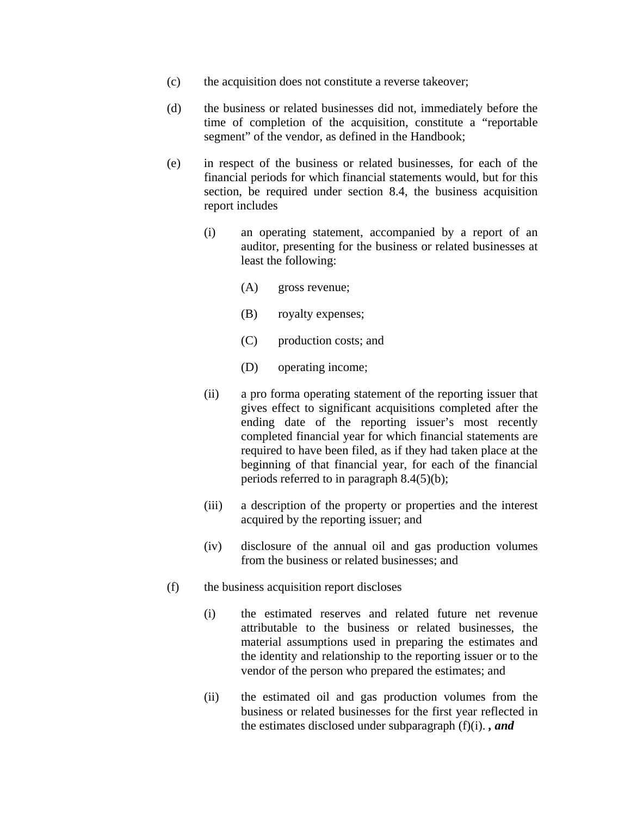- (c) the acquisition does not constitute a reverse takeover;
- (d) the business or related businesses did not, immediately before the time of completion of the acquisition, constitute a "reportable segment" of the vendor, as defined in the Handbook;
- (e) in respect of the business or related businesses, for each of the financial periods for which financial statements would, but for this section, be required under section 8.4, the business acquisition report includes
	- (i) an operating statement, accompanied by a report of an auditor, presenting for the business or related businesses at least the following:
		- (A) gross revenue;
		- (B) royalty expenses;
		- (C) production costs; and
		- (D) operating income;
	- (ii) a pro forma operating statement of the reporting issuer that gives effect to significant acquisitions completed after the ending date of the reporting issuer's most recently completed financial year for which financial statements are required to have been filed, as if they had taken place at the beginning of that financial year, for each of the financial periods referred to in paragraph 8.4(5)(b);
	- (iii) a description of the property or properties and the interest acquired by the reporting issuer; and
	- (iv) disclosure of the annual oil and gas production volumes from the business or related businesses; and
- (f) the business acquisition report discloses
	- (i) the estimated reserves and related future net revenue attributable to the business or related businesses, the material assumptions used in preparing the estimates and the identity and relationship to the reporting issuer or to the vendor of the person who prepared the estimates; and
	- (ii) the estimated oil and gas production volumes from the business or related businesses for the first year reflected in the estimates disclosed under subparagraph (f)(i). *, and*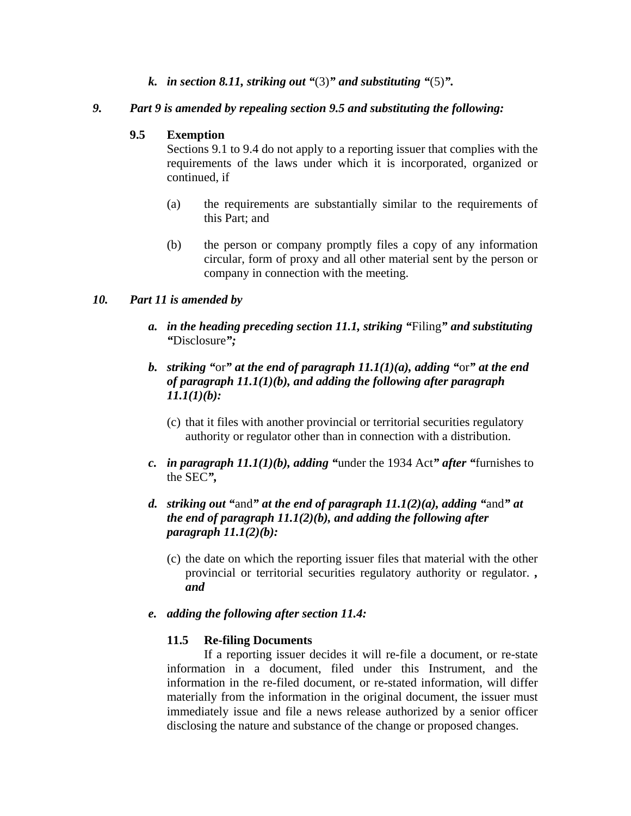*k. in section 8.11, striking out "*(3)*" and substituting "*(5)*".* 

## *9. Part 9 is amended by repealing section 9.5 and substituting the following:*

## **9.5 Exemption**

Sections 9.1 to 9.4 do not apply to a reporting issuer that complies with the requirements of the laws under which it is incorporated, organized or continued, if

- (a) the requirements are substantially similar to the requirements of this Part; and
- (b) the person or company promptly files a copy of any information circular, form of proxy and all other material sent by the person or company in connection with the meeting.

## *10. Part 11 is amended by*

- *a. in the heading preceding section 11.1, striking "*Filing*" and substituting "*Disclosure*";*
- *b. striking "*or*" at the end of paragraph 11.1(1)(a), adding "*or*" at the end of paragraph 11.1(1)(b), and adding the following after paragraph 11.1(1)(b):* 
	- (c) that it files with another provincial or territorial securities regulatory authority or regulator other than in connection with a distribution.
- *c. in paragraph 11.1(1)(b), adding "*under the 1934 Act*" after "*furnishes to the SEC*",*
- *d. striking out "*and*" at the end of paragraph 11.1(2)(a), adding "*and*" at the end of paragraph 11.1(2)(b), and adding the following after paragraph 11.1(2)(b):* 
	- (c) the date on which the reporting issuer files that material with the other provincial or territorial securities regulatory authority or regulator. *, and*

## *e. adding the following after section 11.4:*

## **11.5 Re-filing Documents**

If a reporting issuer decides it will re-file a document, or re-state information in a document, filed under this Instrument, and the information in the re-filed document, or re-stated information, will differ materially from the information in the original document, the issuer must immediately issue and file a news release authorized by a senior officer disclosing the nature and substance of the change or proposed changes.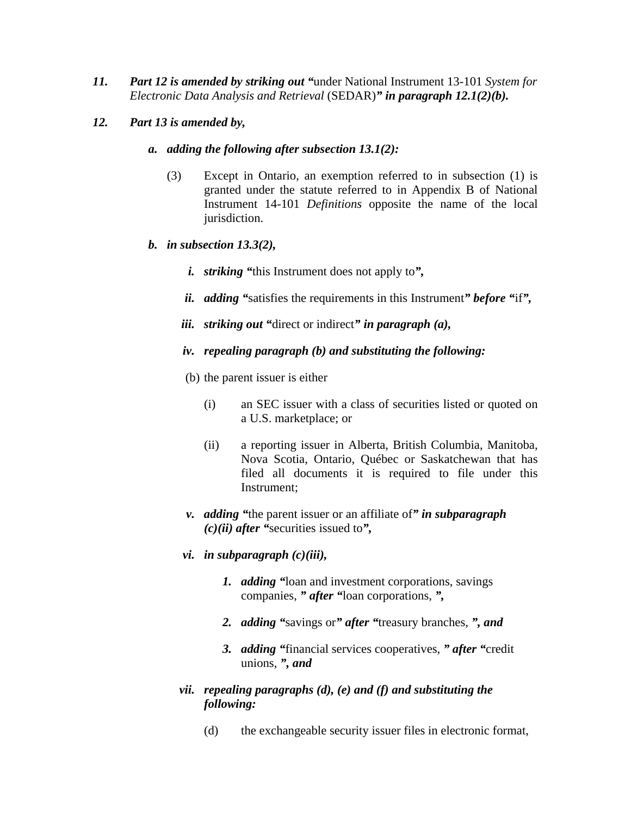- *11. Part 12 is amended by striking out "*under National Instrument 13-101 *System for Electronic Data Analysis and Retrieval* (SEDAR)*" in paragraph 12.1(2)(b).*
- *12. Part 13 is amended by,* 
	- *a. adding the following after subsection 13.1(2):* 
		- (3) Except in Ontario, an exemption referred to in subsection (1) is granted under the statute referred to in Appendix B of National Instrument 14-101 *Definitions* opposite the name of the local jurisdiction.
	- *b. in subsection 13.3(2),* 
		- *i. striking "*this Instrument does not apply to*",*
		- *ii. adding "*satisfies the requirements in this Instrument*" before "*if*",*
		- *iii. striking out "*direct or indirect*" in paragraph (a),*
		- *iv. repealing paragraph (b) and substituting the following:*
		- (b) the parent issuer is either
			- (i) an SEC issuer with a class of securities listed or quoted on a U.S. marketplace; or
			- (ii) a reporting issuer in Alberta, British Columbia, Manitoba, Nova Scotia, Ontario, Québec or Saskatchewan that has filed all documents it is required to file under this Instrument;
		- *v. adding "*the parent issuer or an affiliate of*" in subparagraph (c)(ii) after "*securities issued to*",*
		- *vi. in subparagraph (c)(iii),* 
			- *1. adding "*loan and investment corporations, savings companies, *" after "*loan corporations, *",*
			- *2. adding "*savings or*" after "*treasury branches, *", and*
			- *3. adding "*financial services cooperatives, *" after "*credit unions, *", and*
		- *vii. repealing paragraphs (d), (e) and (f) and substituting the following:* 
			- (d) the exchangeable security issuer files in electronic format,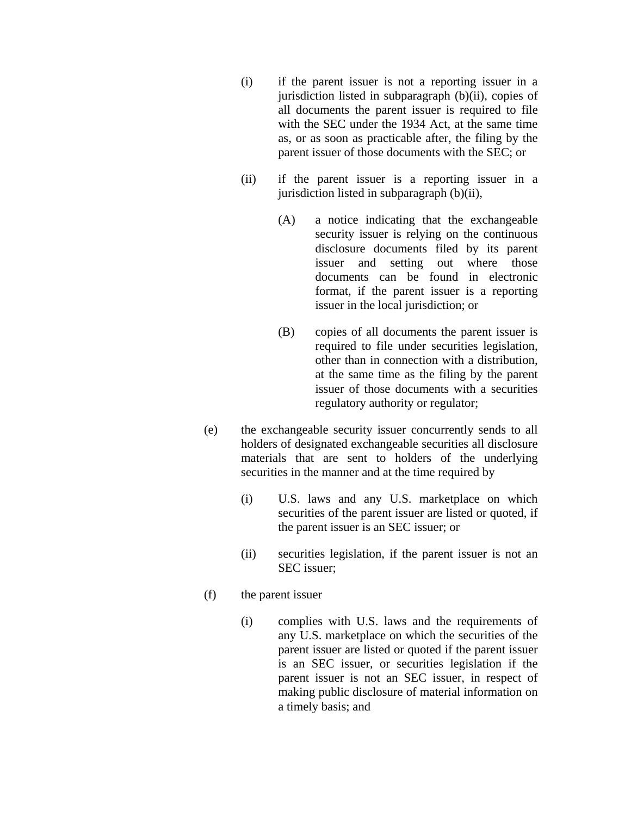- (i) if the parent issuer is not a reporting issuer in a jurisdiction listed in subparagraph (b)(ii), copies of all documents the parent issuer is required to file with the SEC under the 1934 Act, at the same time as, or as soon as practicable after, the filing by the parent issuer of those documents with the SEC; or
- (ii) if the parent issuer is a reporting issuer in a jurisdiction listed in subparagraph (b)(ii),
	- (A) a notice indicating that the exchangeable security issuer is relying on the continuous disclosure documents filed by its parent issuer and setting out where those documents can be found in electronic format, if the parent issuer is a reporting issuer in the local jurisdiction; or
	- (B) copies of all documents the parent issuer is required to file under securities legislation, other than in connection with a distribution, at the same time as the filing by the parent issuer of those documents with a securities regulatory authority or regulator;
- (e) the exchangeable security issuer concurrently sends to all holders of designated exchangeable securities all disclosure materials that are sent to holders of the underlying securities in the manner and at the time required by
	- (i) U.S. laws and any U.S. marketplace on which securities of the parent issuer are listed or quoted, if the parent issuer is an SEC issuer; or
	- (ii) securities legislation, if the parent issuer is not an SEC issuer;
- (f) the parent issuer
	- (i) complies with U.S. laws and the requirements of any U.S. marketplace on which the securities of the parent issuer are listed or quoted if the parent issuer is an SEC issuer, or securities legislation if the parent issuer is not an SEC issuer, in respect of making public disclosure of material information on a timely basis; and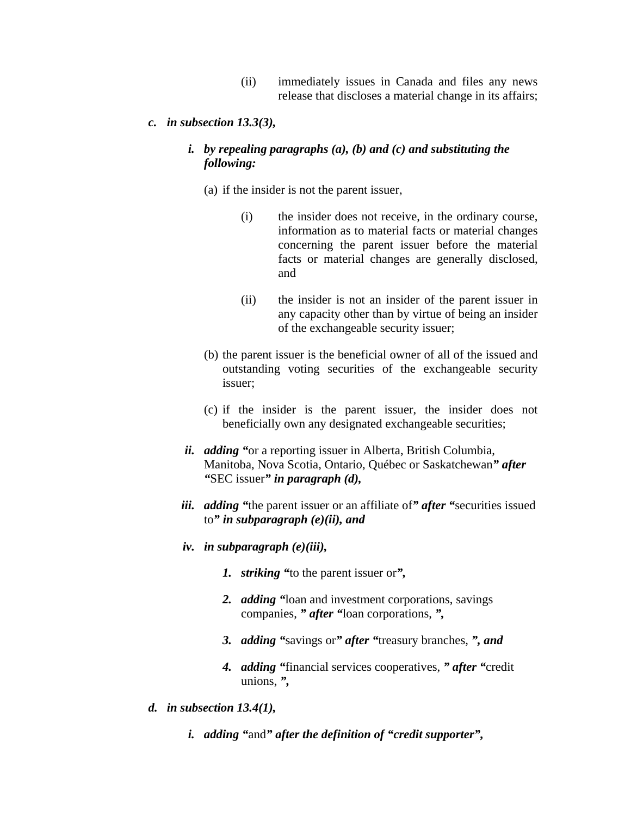- (ii) immediately issues in Canada and files any news release that discloses a material change in its affairs;
- *c. in subsection 13.3(3),*

## *i. by repealing paragraphs (a), (b) and (c) and substituting the following:*

- (a) if the insider is not the parent issuer,
	- (i) the insider does not receive, in the ordinary course, information as to material facts or material changes concerning the parent issuer before the material facts or material changes are generally disclosed, and
	- (ii) the insider is not an insider of the parent issuer in any capacity other than by virtue of being an insider of the exchangeable security issuer;
- (b) the parent issuer is the beneficial owner of all of the issued and outstanding voting securities of the exchangeable security issuer;
- (c) if the insider is the parent issuer, the insider does not beneficially own any designated exchangeable securities;
- *ii. adding "*or a reporting issuer in Alberta, British Columbia, Manitoba, Nova Scotia, Ontario, Québec or Saskatchewan*" after "*SEC issuer*" in paragraph (d),*
- *iii. adding "*the parent issuer or an affiliate of*" after "*securities issued to*" in subparagraph (e)(ii), and*
- *iv. in subparagraph (e)(iii),* 
	- *1. striking "*to the parent issuer or*",*
	- *2. adding "*loan and investment corporations, savings companies, *" after "*loan corporations, *",*
	- *3. adding "*savings or*" after "*treasury branches, *", and*
	- *4. adding "*financial services cooperatives, *" after "*credit unions, *",*
- *d. in subsection 13.4(1),* 
	- *i. adding "*and*" after the definition of "credit supporter",*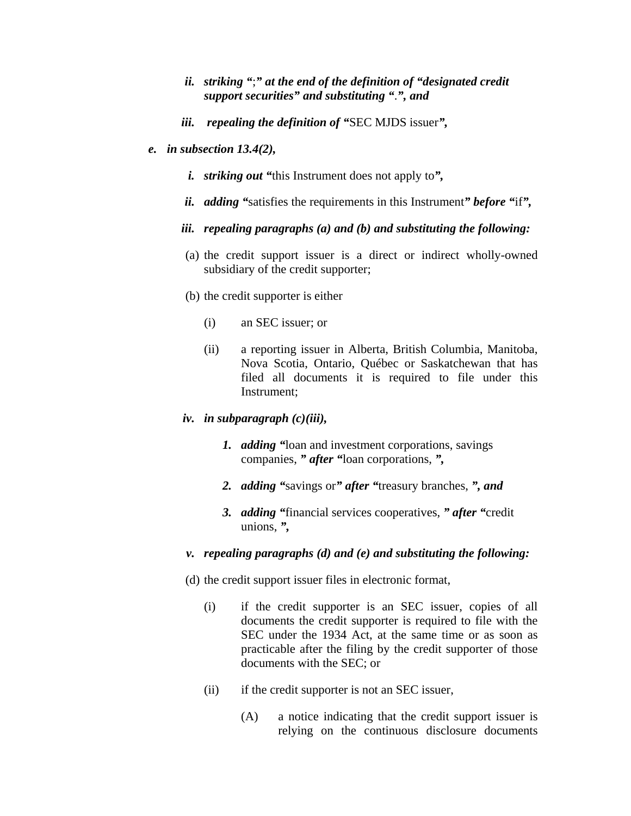## *ii. striking "*;*" at the end of the definition of "designated credit support securities" and substituting "*.*", and*

- *iii. repealing the definition of "*SEC MJDS issuer*",*
- *e. in subsection 13.4(2),* 
	- *i. striking out "*this Instrument does not apply to*",*
	- *ii. adding "*satisfies the requirements in this Instrument*" before "*if*",*
	- *iii. repealing paragraphs (a) and (b) and substituting the following:*
	- (a) the credit support issuer is a direct or indirect wholly-owned subsidiary of the credit supporter;
	- (b) the credit supporter is either
		- (i) an SEC issuer; or
		- (ii) a reporting issuer in Alberta, British Columbia, Manitoba, Nova Scotia, Ontario, Québec or Saskatchewan that has filed all documents it is required to file under this Instrument;
	- *iv. in subparagraph (c)(iii),* 
		- *1. adding "*loan and investment corporations, savings companies, *" after "*loan corporations, *",*
		- *2. adding "*savings or*" after "*treasury branches, *", and*
		- *3. adding "*financial services cooperatives, *" after "*credit unions, *",*
	- *v. repealing paragraphs (d) and (e) and substituting the following:*
	- (d) the credit support issuer files in electronic format,
		- (i) if the credit supporter is an SEC issuer, copies of all documents the credit supporter is required to file with the SEC under the 1934 Act, at the same time or as soon as practicable after the filing by the credit supporter of those documents with the SEC; or
		- (ii) if the credit supporter is not an SEC issuer,
			- (A) a notice indicating that the credit support issuer is relying on the continuous disclosure documents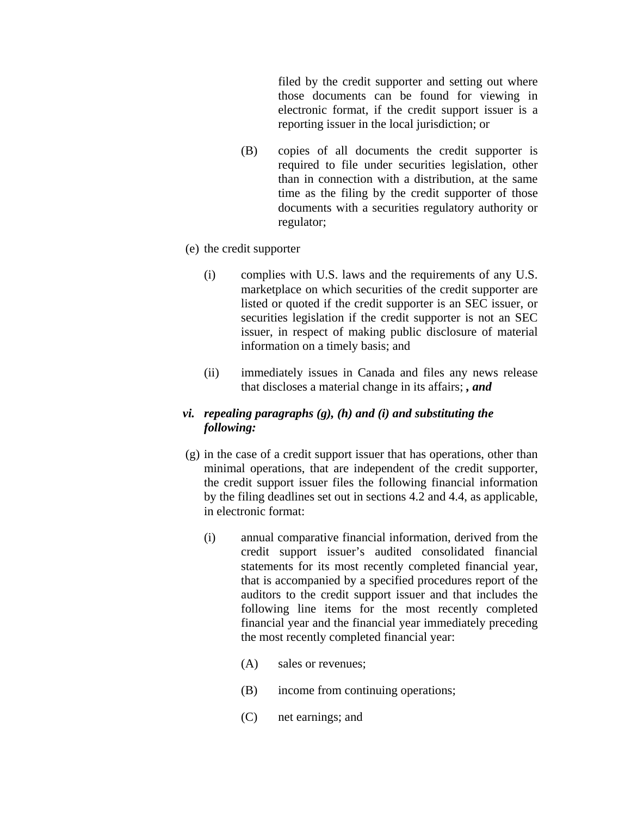filed by the credit supporter and setting out where those documents can be found for viewing in electronic format, if the credit support issuer is a reporting issuer in the local jurisdiction; or

- (B) copies of all documents the credit supporter is required to file under securities legislation, other than in connection with a distribution, at the same time as the filing by the credit supporter of those documents with a securities regulatory authority or regulator;
- (e) the credit supporter
	- (i) complies with U.S. laws and the requirements of any U.S. marketplace on which securities of the credit supporter are listed or quoted if the credit supporter is an SEC issuer, or securities legislation if the credit supporter is not an SEC issuer, in respect of making public disclosure of material information on a timely basis; and
	- (ii) immediately issues in Canada and files any news release that discloses a material change in its affairs; *, and*

## *vi. repealing paragraphs (g), (h) and (i) and substituting the following:*

- (g) in the case of a credit support issuer that has operations, other than minimal operations, that are independent of the credit supporter, the credit support issuer files the following financial information by the filing deadlines set out in sections 4.2 and 4.4, as applicable, in electronic format:
	- (i) annual comparative financial information, derived from the credit support issuer's audited consolidated financial statements for its most recently completed financial year, that is accompanied by a specified procedures report of the auditors to the credit support issuer and that includes the following line items for the most recently completed financial year and the financial year immediately preceding the most recently completed financial year:
		- (A) sales or revenues;
		- (B) income from continuing operations;
		- (C) net earnings; and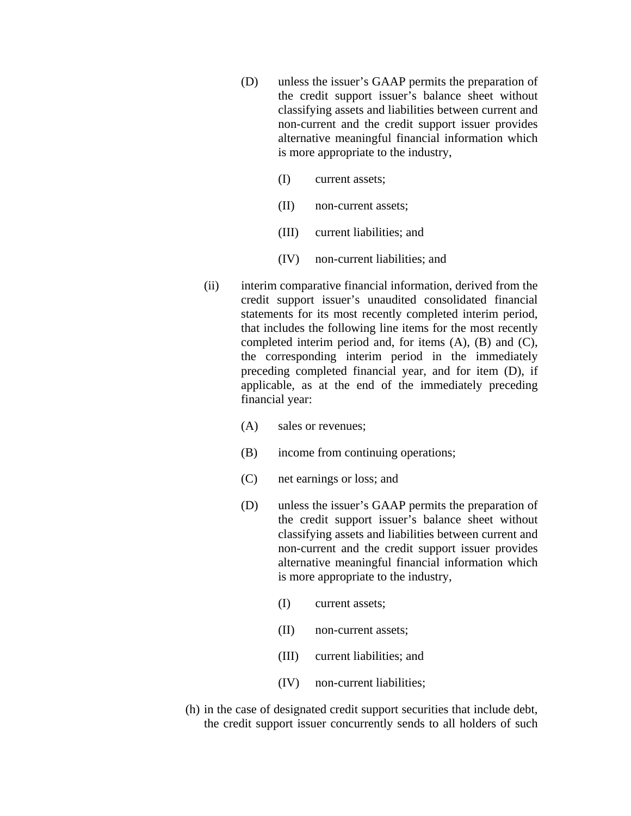- (D) unless the issuer's GAAP permits the preparation of the credit support issuer's balance sheet without classifying assets and liabilities between current and non-current and the credit support issuer provides alternative meaningful financial information which is more appropriate to the industry,
	- (I) current assets;
	- (II) non-current assets;
	- (III) current liabilities; and
	- (IV) non-current liabilities; and
- (ii) interim comparative financial information, derived from the credit support issuer's unaudited consolidated financial statements for its most recently completed interim period, that includes the following line items for the most recently completed interim period and, for items (A), (B) and (C), the corresponding interim period in the immediately preceding completed financial year, and for item (D), if applicable, as at the end of the immediately preceding financial year:
	- (A) sales or revenues;
	- (B) income from continuing operations;
	- (C) net earnings or loss; and
	- (D) unless the issuer's GAAP permits the preparation of the credit support issuer's balance sheet without classifying assets and liabilities between current and non-current and the credit support issuer provides alternative meaningful financial information which is more appropriate to the industry,
		- (I) current assets;
		- (II) non-current assets;
		- (III) current liabilities; and
		- (IV) non-current liabilities;
- (h) in the case of designated credit support securities that include debt, the credit support issuer concurrently sends to all holders of such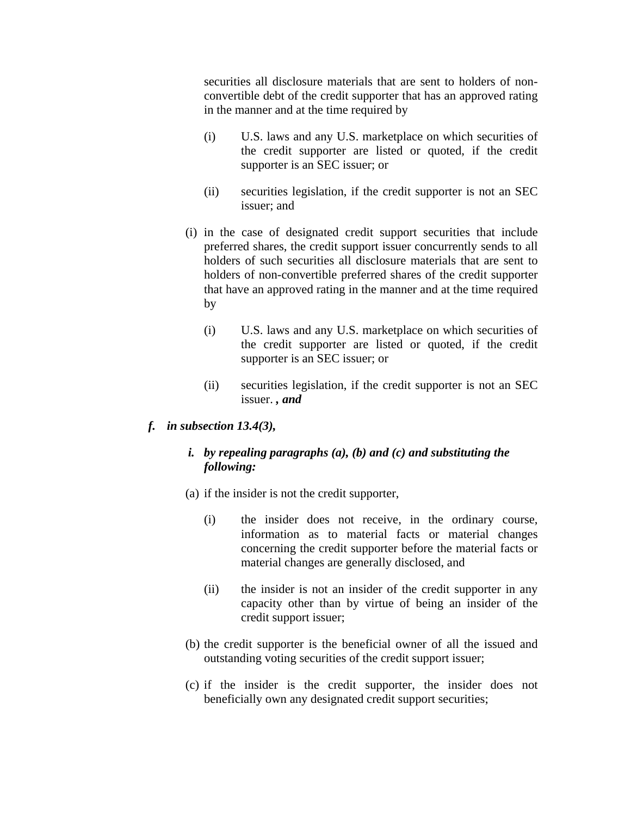securities all disclosure materials that are sent to holders of nonconvertible debt of the credit supporter that has an approved rating in the manner and at the time required by

- (i) U.S. laws and any U.S. marketplace on which securities of the credit supporter are listed or quoted, if the credit supporter is an SEC issuer; or
- (ii) securities legislation, if the credit supporter is not an SEC issuer; and
- (i) in the case of designated credit support securities that include preferred shares, the credit support issuer concurrently sends to all holders of such securities all disclosure materials that are sent to holders of non-convertible preferred shares of the credit supporter that have an approved rating in the manner and at the time required by
	- (i) U.S. laws and any U.S. marketplace on which securities of the credit supporter are listed or quoted, if the credit supporter is an SEC issuer; or
	- (ii) securities legislation, if the credit supporter is not an SEC issuer. *, and*
- *f. in subsection 13.4(3),*

# *i. by repealing paragraphs (a), (b) and (c) and substituting the following:*

- (a) if the insider is not the credit supporter,
	- (i) the insider does not receive, in the ordinary course, information as to material facts or material changes concerning the credit supporter before the material facts or material changes are generally disclosed, and
	- (ii) the insider is not an insider of the credit supporter in any capacity other than by virtue of being an insider of the credit support issuer;
- (b) the credit supporter is the beneficial owner of all the issued and outstanding voting securities of the credit support issuer;
- (c) if the insider is the credit supporter, the insider does not beneficially own any designated credit support securities;